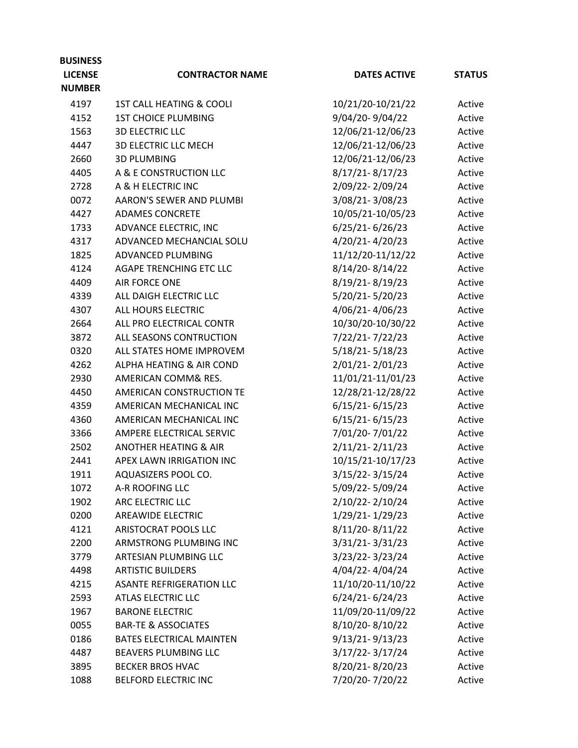| <b>NUMBER</b><br>10/21/20-10/21/22<br>4197<br>1ST CALL HEATING & COOLI<br>Active<br>9/04/20-9/04/22<br>4152<br><b>1ST CHOICE PLUMBING</b><br>Active<br>12/06/21-12/06/23<br>1563<br><b>3D ELECTRIC LLC</b><br>Active<br>12/06/21-12/06/23<br>4447<br><b>3D ELECTRIC LLC MECH</b><br>Active<br>12/06/21-12/06/23<br>2660<br><b>3D PLUMBING</b><br>Active<br>A & E CONSTRUCTION LLC<br>8/17/21-8/17/23<br>4405<br>Active<br>2/09/22-2/09/24<br>A & H ELECTRIC INC<br>2728<br>Active<br>3/08/21-3/08/23<br>AARON'S SEWER AND PLUMBI<br>0072<br>Active<br>10/05/21-10/05/23<br>4427<br><b>ADAMES CONCRETE</b><br>Active<br>6/25/21-6/26/23<br>ADVANCE ELECTRIC, INC<br>1733<br>Active<br>4/20/21-4/20/23<br>4317<br>ADVANCED MECHANCIAL SOLU<br>Active<br>1825<br>11/12/20-11/12/22<br>ADVANCED PLUMBING<br>Active<br>4124<br>8/14/20-8/14/22<br>AGAPE TRENCHING ETC LLC<br>Active<br>4409<br>AIR FORCE ONE<br>8/19/21-8/19/23<br>Active<br>5/20/21-5/20/23<br>ALL DAIGH ELECTRIC LLC<br>4339<br>Active<br>4/06/21-4/06/23<br>4307<br>ALL HOURS ELECTRIC<br>Active<br>2664<br>ALL PRO ELECTRICAL CONTR<br>10/30/20-10/30/22<br>Active<br>7/22/21-7/22/23<br>3872<br>ALL SEASONS CONTRUCTION<br>Active<br>0320<br>ALL STATES HOME IMPROVEM<br>5/18/21-5/18/23<br>Active<br>2/01/21-2/01/23<br><b>ALPHA HEATING &amp; AIR COND</b><br>4262<br>Active<br>11/01/21-11/01/23<br>2930<br>AMERICAN COMM& RES.<br>Active<br>12/28/21-12/28/22<br>4450<br>AMERICAN CONSTRUCTION TE<br>Active<br>$6/15/21 - 6/15/23$<br>4359<br>AMERICAN MECHANICAL INC<br>Active<br>4360<br>AMERICAN MECHANICAL INC<br>$6/15/21 - 6/15/23$<br>Active<br>7/01/20-7/01/22<br>3366<br>AMPERE ELECTRICAL SERVIC<br>Active<br>2/11/21-2/11/23<br>2502<br><b>ANOTHER HEATING &amp; AIR</b><br>Active<br>10/15/21-10/17/23<br>2441<br>APEX LAWN IRRIGATION INC<br>Active<br>AQUASIZERS POOL CO.<br>3/15/22-3/15/24<br>1911<br>Active<br>5/09/22-5/09/24<br>A-R ROOFING LLC<br>1072<br>Active<br>ARC ELECTRIC LLC<br>2/10/22-2/10/24<br>1902<br>Active<br>AREAWIDE ELECTRIC<br>1/29/21-1/29/23<br>0200<br>Active<br>8/11/20-8/11/22<br>4121<br>ARISTOCRAT POOLS LLC<br>Active<br>3/31/21-3/31/23<br>ARMSTRONG PLUMBING INC<br>2200<br>Active<br>3/23/22-3/23/24<br>3779<br>ARTESIAN PLUMBING LLC<br>Active<br>4/04/22-4/04/24<br>4498<br><b>ARTISTIC BUILDERS</b><br>Active<br><b>ASANTE REFRIGERATION LLC</b><br>11/10/20-11/10/22<br>4215<br>Active<br>6/24/21-6/24/23<br>ATLAS ELECTRIC LLC<br>2593<br>Active<br>11/09/20-11/09/22<br>1967<br><b>BARONE ELECTRIC</b><br>Active<br>8/10/20-8/10/22<br>0055<br><b>BAR-TE &amp; ASSOCIATES</b><br>Active<br><b>BATES ELECTRICAL MAINTEN</b><br>9/13/21-9/13/23<br>0186<br>Active<br>3/17/22-3/17/24<br>BEAVERS PLUMBING LLC<br>4487<br>Active<br>8/20/21-8/20/23<br>3895<br><b>BECKER BROS HVAC</b><br>Active<br>7/20/20-7/20/22<br>1088<br><b>BELFORD ELECTRIC INC</b><br>Active | <b>BUSINESS</b> |                        |                     |               |
|----------------------------------------------------------------------------------------------------------------------------------------------------------------------------------------------------------------------------------------------------------------------------------------------------------------------------------------------------------------------------------------------------------------------------------------------------------------------------------------------------------------------------------------------------------------------------------------------------------------------------------------------------------------------------------------------------------------------------------------------------------------------------------------------------------------------------------------------------------------------------------------------------------------------------------------------------------------------------------------------------------------------------------------------------------------------------------------------------------------------------------------------------------------------------------------------------------------------------------------------------------------------------------------------------------------------------------------------------------------------------------------------------------------------------------------------------------------------------------------------------------------------------------------------------------------------------------------------------------------------------------------------------------------------------------------------------------------------------------------------------------------------------------------------------------------------------------------------------------------------------------------------------------------------------------------------------------------------------------------------------------------------------------------------------------------------------------------------------------------------------------------------------------------------------------------------------------------------------------------------------------------------------------------------------------------------------------------------------------------------------------------------------------------------------------------------------------------------------------------------------------------------------------------------------------------------------------------------------------------------------------------------------------------------------------------------------------------------------------------------------------------------------------------------------------------------------------------------------------------------------------------------|-----------------|------------------------|---------------------|---------------|
|                                                                                                                                                                                                                                                                                                                                                                                                                                                                                                                                                                                                                                                                                                                                                                                                                                                                                                                                                                                                                                                                                                                                                                                                                                                                                                                                                                                                                                                                                                                                                                                                                                                                                                                                                                                                                                                                                                                                                                                                                                                                                                                                                                                                                                                                                                                                                                                                                                                                                                                                                                                                                                                                                                                                                                                                                                                                                              | <b>LICENSE</b>  | <b>CONTRACTOR NAME</b> | <b>DATES ACTIVE</b> | <b>STATUS</b> |
|                                                                                                                                                                                                                                                                                                                                                                                                                                                                                                                                                                                                                                                                                                                                                                                                                                                                                                                                                                                                                                                                                                                                                                                                                                                                                                                                                                                                                                                                                                                                                                                                                                                                                                                                                                                                                                                                                                                                                                                                                                                                                                                                                                                                                                                                                                                                                                                                                                                                                                                                                                                                                                                                                                                                                                                                                                                                                              |                 |                        |                     |               |
|                                                                                                                                                                                                                                                                                                                                                                                                                                                                                                                                                                                                                                                                                                                                                                                                                                                                                                                                                                                                                                                                                                                                                                                                                                                                                                                                                                                                                                                                                                                                                                                                                                                                                                                                                                                                                                                                                                                                                                                                                                                                                                                                                                                                                                                                                                                                                                                                                                                                                                                                                                                                                                                                                                                                                                                                                                                                                              |                 |                        |                     |               |
|                                                                                                                                                                                                                                                                                                                                                                                                                                                                                                                                                                                                                                                                                                                                                                                                                                                                                                                                                                                                                                                                                                                                                                                                                                                                                                                                                                                                                                                                                                                                                                                                                                                                                                                                                                                                                                                                                                                                                                                                                                                                                                                                                                                                                                                                                                                                                                                                                                                                                                                                                                                                                                                                                                                                                                                                                                                                                              |                 |                        |                     |               |
|                                                                                                                                                                                                                                                                                                                                                                                                                                                                                                                                                                                                                                                                                                                                                                                                                                                                                                                                                                                                                                                                                                                                                                                                                                                                                                                                                                                                                                                                                                                                                                                                                                                                                                                                                                                                                                                                                                                                                                                                                                                                                                                                                                                                                                                                                                                                                                                                                                                                                                                                                                                                                                                                                                                                                                                                                                                                                              |                 |                        |                     |               |
|                                                                                                                                                                                                                                                                                                                                                                                                                                                                                                                                                                                                                                                                                                                                                                                                                                                                                                                                                                                                                                                                                                                                                                                                                                                                                                                                                                                                                                                                                                                                                                                                                                                                                                                                                                                                                                                                                                                                                                                                                                                                                                                                                                                                                                                                                                                                                                                                                                                                                                                                                                                                                                                                                                                                                                                                                                                                                              |                 |                        |                     |               |
|                                                                                                                                                                                                                                                                                                                                                                                                                                                                                                                                                                                                                                                                                                                                                                                                                                                                                                                                                                                                                                                                                                                                                                                                                                                                                                                                                                                                                                                                                                                                                                                                                                                                                                                                                                                                                                                                                                                                                                                                                                                                                                                                                                                                                                                                                                                                                                                                                                                                                                                                                                                                                                                                                                                                                                                                                                                                                              |                 |                        |                     |               |
|                                                                                                                                                                                                                                                                                                                                                                                                                                                                                                                                                                                                                                                                                                                                                                                                                                                                                                                                                                                                                                                                                                                                                                                                                                                                                                                                                                                                                                                                                                                                                                                                                                                                                                                                                                                                                                                                                                                                                                                                                                                                                                                                                                                                                                                                                                                                                                                                                                                                                                                                                                                                                                                                                                                                                                                                                                                                                              |                 |                        |                     |               |
|                                                                                                                                                                                                                                                                                                                                                                                                                                                                                                                                                                                                                                                                                                                                                                                                                                                                                                                                                                                                                                                                                                                                                                                                                                                                                                                                                                                                                                                                                                                                                                                                                                                                                                                                                                                                                                                                                                                                                                                                                                                                                                                                                                                                                                                                                                                                                                                                                                                                                                                                                                                                                                                                                                                                                                                                                                                                                              |                 |                        |                     |               |
|                                                                                                                                                                                                                                                                                                                                                                                                                                                                                                                                                                                                                                                                                                                                                                                                                                                                                                                                                                                                                                                                                                                                                                                                                                                                                                                                                                                                                                                                                                                                                                                                                                                                                                                                                                                                                                                                                                                                                                                                                                                                                                                                                                                                                                                                                                                                                                                                                                                                                                                                                                                                                                                                                                                                                                                                                                                                                              |                 |                        |                     |               |
|                                                                                                                                                                                                                                                                                                                                                                                                                                                                                                                                                                                                                                                                                                                                                                                                                                                                                                                                                                                                                                                                                                                                                                                                                                                                                                                                                                                                                                                                                                                                                                                                                                                                                                                                                                                                                                                                                                                                                                                                                                                                                                                                                                                                                                                                                                                                                                                                                                                                                                                                                                                                                                                                                                                                                                                                                                                                                              |                 |                        |                     |               |
|                                                                                                                                                                                                                                                                                                                                                                                                                                                                                                                                                                                                                                                                                                                                                                                                                                                                                                                                                                                                                                                                                                                                                                                                                                                                                                                                                                                                                                                                                                                                                                                                                                                                                                                                                                                                                                                                                                                                                                                                                                                                                                                                                                                                                                                                                                                                                                                                                                                                                                                                                                                                                                                                                                                                                                                                                                                                                              |                 |                        |                     |               |
|                                                                                                                                                                                                                                                                                                                                                                                                                                                                                                                                                                                                                                                                                                                                                                                                                                                                                                                                                                                                                                                                                                                                                                                                                                                                                                                                                                                                                                                                                                                                                                                                                                                                                                                                                                                                                                                                                                                                                                                                                                                                                                                                                                                                                                                                                                                                                                                                                                                                                                                                                                                                                                                                                                                                                                                                                                                                                              |                 |                        |                     |               |
|                                                                                                                                                                                                                                                                                                                                                                                                                                                                                                                                                                                                                                                                                                                                                                                                                                                                                                                                                                                                                                                                                                                                                                                                                                                                                                                                                                                                                                                                                                                                                                                                                                                                                                                                                                                                                                                                                                                                                                                                                                                                                                                                                                                                                                                                                                                                                                                                                                                                                                                                                                                                                                                                                                                                                                                                                                                                                              |                 |                        |                     |               |
|                                                                                                                                                                                                                                                                                                                                                                                                                                                                                                                                                                                                                                                                                                                                                                                                                                                                                                                                                                                                                                                                                                                                                                                                                                                                                                                                                                                                                                                                                                                                                                                                                                                                                                                                                                                                                                                                                                                                                                                                                                                                                                                                                                                                                                                                                                                                                                                                                                                                                                                                                                                                                                                                                                                                                                                                                                                                                              |                 |                        |                     |               |
|                                                                                                                                                                                                                                                                                                                                                                                                                                                                                                                                                                                                                                                                                                                                                                                                                                                                                                                                                                                                                                                                                                                                                                                                                                                                                                                                                                                                                                                                                                                                                                                                                                                                                                                                                                                                                                                                                                                                                                                                                                                                                                                                                                                                                                                                                                                                                                                                                                                                                                                                                                                                                                                                                                                                                                                                                                                                                              |                 |                        |                     |               |
|                                                                                                                                                                                                                                                                                                                                                                                                                                                                                                                                                                                                                                                                                                                                                                                                                                                                                                                                                                                                                                                                                                                                                                                                                                                                                                                                                                                                                                                                                                                                                                                                                                                                                                                                                                                                                                                                                                                                                                                                                                                                                                                                                                                                                                                                                                                                                                                                                                                                                                                                                                                                                                                                                                                                                                                                                                                                                              |                 |                        |                     |               |
|                                                                                                                                                                                                                                                                                                                                                                                                                                                                                                                                                                                                                                                                                                                                                                                                                                                                                                                                                                                                                                                                                                                                                                                                                                                                                                                                                                                                                                                                                                                                                                                                                                                                                                                                                                                                                                                                                                                                                                                                                                                                                                                                                                                                                                                                                                                                                                                                                                                                                                                                                                                                                                                                                                                                                                                                                                                                                              |                 |                        |                     |               |
|                                                                                                                                                                                                                                                                                                                                                                                                                                                                                                                                                                                                                                                                                                                                                                                                                                                                                                                                                                                                                                                                                                                                                                                                                                                                                                                                                                                                                                                                                                                                                                                                                                                                                                                                                                                                                                                                                                                                                                                                                                                                                                                                                                                                                                                                                                                                                                                                                                                                                                                                                                                                                                                                                                                                                                                                                                                                                              |                 |                        |                     |               |
|                                                                                                                                                                                                                                                                                                                                                                                                                                                                                                                                                                                                                                                                                                                                                                                                                                                                                                                                                                                                                                                                                                                                                                                                                                                                                                                                                                                                                                                                                                                                                                                                                                                                                                                                                                                                                                                                                                                                                                                                                                                                                                                                                                                                                                                                                                                                                                                                                                                                                                                                                                                                                                                                                                                                                                                                                                                                                              |                 |                        |                     |               |
|                                                                                                                                                                                                                                                                                                                                                                                                                                                                                                                                                                                                                                                                                                                                                                                                                                                                                                                                                                                                                                                                                                                                                                                                                                                                                                                                                                                                                                                                                                                                                                                                                                                                                                                                                                                                                                                                                                                                                                                                                                                                                                                                                                                                                                                                                                                                                                                                                                                                                                                                                                                                                                                                                                                                                                                                                                                                                              |                 |                        |                     |               |
|                                                                                                                                                                                                                                                                                                                                                                                                                                                                                                                                                                                                                                                                                                                                                                                                                                                                                                                                                                                                                                                                                                                                                                                                                                                                                                                                                                                                                                                                                                                                                                                                                                                                                                                                                                                                                                                                                                                                                                                                                                                                                                                                                                                                                                                                                                                                                                                                                                                                                                                                                                                                                                                                                                                                                                                                                                                                                              |                 |                        |                     |               |
|                                                                                                                                                                                                                                                                                                                                                                                                                                                                                                                                                                                                                                                                                                                                                                                                                                                                                                                                                                                                                                                                                                                                                                                                                                                                                                                                                                                                                                                                                                                                                                                                                                                                                                                                                                                                                                                                                                                                                                                                                                                                                                                                                                                                                                                                                                                                                                                                                                                                                                                                                                                                                                                                                                                                                                                                                                                                                              |                 |                        |                     |               |
|                                                                                                                                                                                                                                                                                                                                                                                                                                                                                                                                                                                                                                                                                                                                                                                                                                                                                                                                                                                                                                                                                                                                                                                                                                                                                                                                                                                                                                                                                                                                                                                                                                                                                                                                                                                                                                                                                                                                                                                                                                                                                                                                                                                                                                                                                                                                                                                                                                                                                                                                                                                                                                                                                                                                                                                                                                                                                              |                 |                        |                     |               |
|                                                                                                                                                                                                                                                                                                                                                                                                                                                                                                                                                                                                                                                                                                                                                                                                                                                                                                                                                                                                                                                                                                                                                                                                                                                                                                                                                                                                                                                                                                                                                                                                                                                                                                                                                                                                                                                                                                                                                                                                                                                                                                                                                                                                                                                                                                                                                                                                                                                                                                                                                                                                                                                                                                                                                                                                                                                                                              |                 |                        |                     |               |
|                                                                                                                                                                                                                                                                                                                                                                                                                                                                                                                                                                                                                                                                                                                                                                                                                                                                                                                                                                                                                                                                                                                                                                                                                                                                                                                                                                                                                                                                                                                                                                                                                                                                                                                                                                                                                                                                                                                                                                                                                                                                                                                                                                                                                                                                                                                                                                                                                                                                                                                                                                                                                                                                                                                                                                                                                                                                                              |                 |                        |                     |               |
|                                                                                                                                                                                                                                                                                                                                                                                                                                                                                                                                                                                                                                                                                                                                                                                                                                                                                                                                                                                                                                                                                                                                                                                                                                                                                                                                                                                                                                                                                                                                                                                                                                                                                                                                                                                                                                                                                                                                                                                                                                                                                                                                                                                                                                                                                                                                                                                                                                                                                                                                                                                                                                                                                                                                                                                                                                                                                              |                 |                        |                     |               |
|                                                                                                                                                                                                                                                                                                                                                                                                                                                                                                                                                                                                                                                                                                                                                                                                                                                                                                                                                                                                                                                                                                                                                                                                                                                                                                                                                                                                                                                                                                                                                                                                                                                                                                                                                                                                                                                                                                                                                                                                                                                                                                                                                                                                                                                                                                                                                                                                                                                                                                                                                                                                                                                                                                                                                                                                                                                                                              |                 |                        |                     |               |
|                                                                                                                                                                                                                                                                                                                                                                                                                                                                                                                                                                                                                                                                                                                                                                                                                                                                                                                                                                                                                                                                                                                                                                                                                                                                                                                                                                                                                                                                                                                                                                                                                                                                                                                                                                                                                                                                                                                                                                                                                                                                                                                                                                                                                                                                                                                                                                                                                                                                                                                                                                                                                                                                                                                                                                                                                                                                                              |                 |                        |                     |               |
|                                                                                                                                                                                                                                                                                                                                                                                                                                                                                                                                                                                                                                                                                                                                                                                                                                                                                                                                                                                                                                                                                                                                                                                                                                                                                                                                                                                                                                                                                                                                                                                                                                                                                                                                                                                                                                                                                                                                                                                                                                                                                                                                                                                                                                                                                                                                                                                                                                                                                                                                                                                                                                                                                                                                                                                                                                                                                              |                 |                        |                     |               |
|                                                                                                                                                                                                                                                                                                                                                                                                                                                                                                                                                                                                                                                                                                                                                                                                                                                                                                                                                                                                                                                                                                                                                                                                                                                                                                                                                                                                                                                                                                                                                                                                                                                                                                                                                                                                                                                                                                                                                                                                                                                                                                                                                                                                                                                                                                                                                                                                                                                                                                                                                                                                                                                                                                                                                                                                                                                                                              |                 |                        |                     |               |
|                                                                                                                                                                                                                                                                                                                                                                                                                                                                                                                                                                                                                                                                                                                                                                                                                                                                                                                                                                                                                                                                                                                                                                                                                                                                                                                                                                                                                                                                                                                                                                                                                                                                                                                                                                                                                                                                                                                                                                                                                                                                                                                                                                                                                                                                                                                                                                                                                                                                                                                                                                                                                                                                                                                                                                                                                                                                                              |                 |                        |                     |               |
|                                                                                                                                                                                                                                                                                                                                                                                                                                                                                                                                                                                                                                                                                                                                                                                                                                                                                                                                                                                                                                                                                                                                                                                                                                                                                                                                                                                                                                                                                                                                                                                                                                                                                                                                                                                                                                                                                                                                                                                                                                                                                                                                                                                                                                                                                                                                                                                                                                                                                                                                                                                                                                                                                                                                                                                                                                                                                              |                 |                        |                     |               |
|                                                                                                                                                                                                                                                                                                                                                                                                                                                                                                                                                                                                                                                                                                                                                                                                                                                                                                                                                                                                                                                                                                                                                                                                                                                                                                                                                                                                                                                                                                                                                                                                                                                                                                                                                                                                                                                                                                                                                                                                                                                                                                                                                                                                                                                                                                                                                                                                                                                                                                                                                                                                                                                                                                                                                                                                                                                                                              |                 |                        |                     |               |
|                                                                                                                                                                                                                                                                                                                                                                                                                                                                                                                                                                                                                                                                                                                                                                                                                                                                                                                                                                                                                                                                                                                                                                                                                                                                                                                                                                                                                                                                                                                                                                                                                                                                                                                                                                                                                                                                                                                                                                                                                                                                                                                                                                                                                                                                                                                                                                                                                                                                                                                                                                                                                                                                                                                                                                                                                                                                                              |                 |                        |                     |               |
|                                                                                                                                                                                                                                                                                                                                                                                                                                                                                                                                                                                                                                                                                                                                                                                                                                                                                                                                                                                                                                                                                                                                                                                                                                                                                                                                                                                                                                                                                                                                                                                                                                                                                                                                                                                                                                                                                                                                                                                                                                                                                                                                                                                                                                                                                                                                                                                                                                                                                                                                                                                                                                                                                                                                                                                                                                                                                              |                 |                        |                     |               |
|                                                                                                                                                                                                                                                                                                                                                                                                                                                                                                                                                                                                                                                                                                                                                                                                                                                                                                                                                                                                                                                                                                                                                                                                                                                                                                                                                                                                                                                                                                                                                                                                                                                                                                                                                                                                                                                                                                                                                                                                                                                                                                                                                                                                                                                                                                                                                                                                                                                                                                                                                                                                                                                                                                                                                                                                                                                                                              |                 |                        |                     |               |
|                                                                                                                                                                                                                                                                                                                                                                                                                                                                                                                                                                                                                                                                                                                                                                                                                                                                                                                                                                                                                                                                                                                                                                                                                                                                                                                                                                                                                                                                                                                                                                                                                                                                                                                                                                                                                                                                                                                                                                                                                                                                                                                                                                                                                                                                                                                                                                                                                                                                                                                                                                                                                                                                                                                                                                                                                                                                                              |                 |                        |                     |               |
|                                                                                                                                                                                                                                                                                                                                                                                                                                                                                                                                                                                                                                                                                                                                                                                                                                                                                                                                                                                                                                                                                                                                                                                                                                                                                                                                                                                                                                                                                                                                                                                                                                                                                                                                                                                                                                                                                                                                                                                                                                                                                                                                                                                                                                                                                                                                                                                                                                                                                                                                                                                                                                                                                                                                                                                                                                                                                              |                 |                        |                     |               |
|                                                                                                                                                                                                                                                                                                                                                                                                                                                                                                                                                                                                                                                                                                                                                                                                                                                                                                                                                                                                                                                                                                                                                                                                                                                                                                                                                                                                                                                                                                                                                                                                                                                                                                                                                                                                                                                                                                                                                                                                                                                                                                                                                                                                                                                                                                                                                                                                                                                                                                                                                                                                                                                                                                                                                                                                                                                                                              |                 |                        |                     |               |
|                                                                                                                                                                                                                                                                                                                                                                                                                                                                                                                                                                                                                                                                                                                                                                                                                                                                                                                                                                                                                                                                                                                                                                                                                                                                                                                                                                                                                                                                                                                                                                                                                                                                                                                                                                                                                                                                                                                                                                                                                                                                                                                                                                                                                                                                                                                                                                                                                                                                                                                                                                                                                                                                                                                                                                                                                                                                                              |                 |                        |                     |               |
|                                                                                                                                                                                                                                                                                                                                                                                                                                                                                                                                                                                                                                                                                                                                                                                                                                                                                                                                                                                                                                                                                                                                                                                                                                                                                                                                                                                                                                                                                                                                                                                                                                                                                                                                                                                                                                                                                                                                                                                                                                                                                                                                                                                                                                                                                                                                                                                                                                                                                                                                                                                                                                                                                                                                                                                                                                                                                              |                 |                        |                     |               |
|                                                                                                                                                                                                                                                                                                                                                                                                                                                                                                                                                                                                                                                                                                                                                                                                                                                                                                                                                                                                                                                                                                                                                                                                                                                                                                                                                                                                                                                                                                                                                                                                                                                                                                                                                                                                                                                                                                                                                                                                                                                                                                                                                                                                                                                                                                                                                                                                                                                                                                                                                                                                                                                                                                                                                                                                                                                                                              |                 |                        |                     |               |
|                                                                                                                                                                                                                                                                                                                                                                                                                                                                                                                                                                                                                                                                                                                                                                                                                                                                                                                                                                                                                                                                                                                                                                                                                                                                                                                                                                                                                                                                                                                                                                                                                                                                                                                                                                                                                                                                                                                                                                                                                                                                                                                                                                                                                                                                                                                                                                                                                                                                                                                                                                                                                                                                                                                                                                                                                                                                                              |                 |                        |                     |               |
|                                                                                                                                                                                                                                                                                                                                                                                                                                                                                                                                                                                                                                                                                                                                                                                                                                                                                                                                                                                                                                                                                                                                                                                                                                                                                                                                                                                                                                                                                                                                                                                                                                                                                                                                                                                                                                                                                                                                                                                                                                                                                                                                                                                                                                                                                                                                                                                                                                                                                                                                                                                                                                                                                                                                                                                                                                                                                              |                 |                        |                     |               |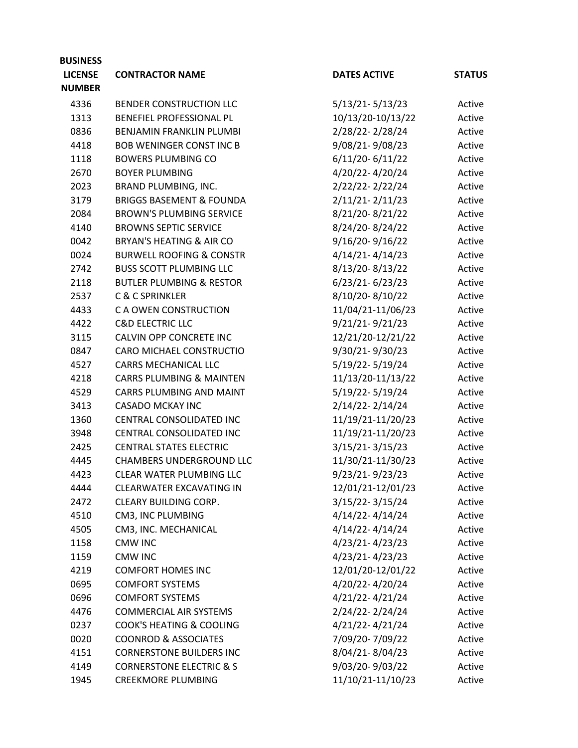| <b>BUSINESS</b> |                                     |                     |               |
|-----------------|-------------------------------------|---------------------|---------------|
| <b>LICENSE</b>  | <b>CONTRACTOR NAME</b>              | <b>DATES ACTIVE</b> | <b>STATUS</b> |
| <b>NUMBER</b>   |                                     |                     |               |
| 4336            | BENDER CONSTRUCTION LLC             | $5/13/21 - 5/13/23$ | Active        |
| 1313            | BENEFIEL PROFESSIONAL PL            | 10/13/20-10/13/22   | Active        |
| 0836            | <b>BENJAMIN FRANKLIN PLUMBI</b>     | 2/28/22-2/28/24     | Active        |
| 4418            | <b>BOB WENINGER CONST INC B</b>     | 9/08/21-9/08/23     | Active        |
| 1118            | <b>BOWERS PLUMBING CO</b>           | $6/11/20 - 6/11/22$ | Active        |
| 2670            | <b>BOYER PLUMBING</b>               | 4/20/22-4/20/24     | Active        |
| 2023            | <b>BRAND PLUMBING, INC.</b>         | 2/22/22-2/22/24     | Active        |
| 3179            | <b>BRIGGS BASEMENT &amp; FOUNDA</b> | $2/11/21 - 2/11/23$ | Active        |
| 2084            | <b>BROWN'S PLUMBING SERVICE</b>     | 8/21/20-8/21/22     | Active        |
| 4140            | <b>BROWNS SEPTIC SERVICE</b>        | 8/24/20-8/24/22     | Active        |
| 0042            | <b>BRYAN'S HEATING &amp; AIR CO</b> | $9/16/20 - 9/16/22$ | Active        |
| 0024            | <b>BURWELL ROOFING &amp; CONSTR</b> | $4/14/21 - 4/14/23$ | Active        |
| 2742            | <b>BUSS SCOTT PLUMBING LLC</b>      | 8/13/20-8/13/22     | Active        |
| 2118            | <b>BUTLER PLUMBING &amp; RESTOR</b> | $6/23/21 - 6/23/23$ | Active        |
| 2537            | <b>C &amp; C SPRINKLER</b>          | 8/10/20-8/10/22     | Active        |
| 4433            | C A OWEN CONSTRUCTION               | 11/04/21-11/06/23   | Active        |
| 4422            | <b>C&amp;D ELECTRIC LLC</b>         | $9/21/21 - 9/21/23$ | Active        |
| 3115            | CALVIN OPP CONCRETE INC             | 12/21/20-12/21/22   | Active        |
| 0847            | CARO MICHAEL CONSTRUCTIO            | 9/30/21-9/30/23     | Active        |
| 4527            | <b>CARRS MECHANICAL LLC</b>         | 5/19/22-5/19/24     | Active        |
| 4218            | <b>CARRS PLUMBING &amp; MAINTEN</b> | 11/13/20-11/13/22   | Active        |
| 4529            | CARRS PLUMBING AND MAINT            | 5/19/22-5/19/24     | Active        |
| 3413            | <b>CASADO MCKAY INC</b>             | 2/14/22-2/14/24     | Active        |
| 1360            | CENTRAL CONSOLIDATED INC            | 11/19/21-11/20/23   | Active        |
| 3948            | CENTRAL CONSOLIDATED INC            | 11/19/21-11/20/23   | Active        |
| 2425            | <b>CENTRAL STATES ELECTRIC</b>      | $3/15/21 - 3/15/23$ | Active        |
| 4445            | CHAMBERS UNDERGROUND LLC            | 11/30/21-11/30/23   | Active        |
| 4423            | CLEAR WATER PLUMBING LLC            | 9/23/21-9/23/23     | Active        |
| 4444            | <b>CLEARWATER EXCAVATING IN</b>     | 12/01/21-12/01/23   | Active        |
| 2472            | CLEARY BUILDING CORP.               | 3/15/22-3/15/24     | Active        |
| 4510            | CM3, INC PLUMBING                   | 4/14/22-4/14/24     | Active        |
| 4505            | CM3, INC. MECHANICAL                | 4/14/22-4/14/24     | Active        |
| 1158            | <b>CMW INC</b>                      | 4/23/21-4/23/23     | Active        |
| 1159            | <b>CMW INC</b>                      | 4/23/21-4/23/23     | Active        |
| 4219            | <b>COMFORT HOMES INC</b>            | 12/01/20-12/01/22   | Active        |
| 0695            | <b>COMFORT SYSTEMS</b>              | 4/20/22-4/20/24     | Active        |
| 0696            | <b>COMFORT SYSTEMS</b>              | 4/21/22-4/21/24     | Active        |
| 4476            | <b>COMMERCIAL AIR SYSTEMS</b>       | 2/24/22-2/24/24     | Active        |
| 0237            | COOK'S HEATING & COOLING            | 4/21/22-4/21/24     | Active        |
| 0020            | <b>COONROD &amp; ASSOCIATES</b>     | 7/09/20-7/09/22     | Active        |
| 4151            | <b>CORNERSTONE BUILDERS INC</b>     | 8/04/21-8/04/23     | Active        |
| 4149            | <b>CORNERSTONE ELECTRIC &amp; S</b> | 9/03/20-9/03/22     | Active        |
| 1945            | <b>CREEKMORE PLUMBING</b>           | 11/10/21-11/10/23   | Active        |
|                 |                                     |                     |               |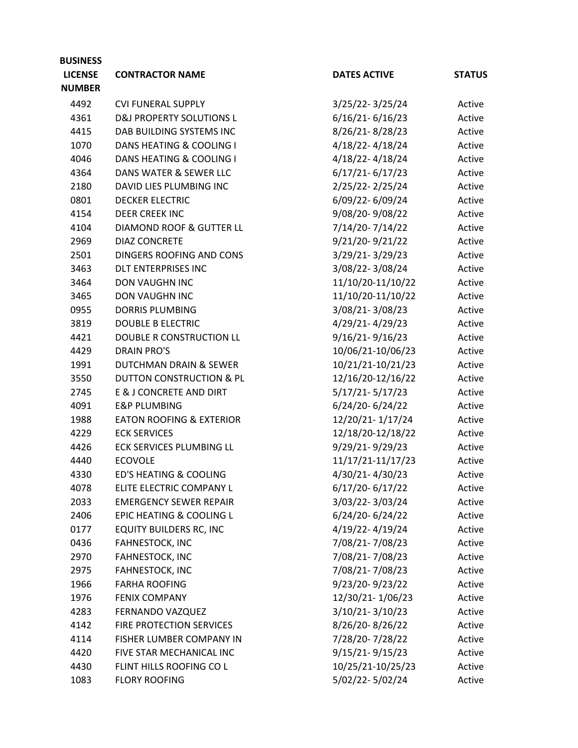| <b>BUSINESS</b> |                                     |                     |               |
|-----------------|-------------------------------------|---------------------|---------------|
| <b>LICENSE</b>  | <b>CONTRACTOR NAME</b>              | <b>DATES ACTIVE</b> | <b>STATUS</b> |
| <b>NUMBER</b>   |                                     |                     |               |
| 4492            | <b>CVI FUNERAL SUPPLY</b>           | 3/25/22-3/25/24     | Active        |
| 4361            | <b>D&amp;J PROPERTY SOLUTIONS L</b> | $6/16/21 - 6/16/23$ | Active        |
| 4415            | DAB BUILDING SYSTEMS INC            | 8/26/21-8/28/23     | Active        |
| 1070            | DANS HEATING & COOLING I            | 4/18/22-4/18/24     | Active        |
| 4046            | DANS HEATING & COOLING I            | 4/18/22-4/18/24     | Active        |
| 4364            | DANS WATER & SEWER LLC              | $6/17/21 - 6/17/23$ | Active        |
| 2180            | DAVID LIES PLUMBING INC             | 2/25/22-2/25/24     | Active        |
| 0801            | <b>DECKER ELECTRIC</b>              | 6/09/22-6/09/24     | Active        |
| 4154            | <b>DEER CREEK INC</b>               | 9/08/20-9/08/22     | Active        |
| 4104            | <b>DIAMOND ROOF &amp; GUTTER LL</b> | 7/14/20-7/14/22     | Active        |
| 2969            | <b>DIAZ CONCRETE</b>                | 9/21/20-9/21/22     | Active        |
| 2501            | <b>DINGERS ROOFING AND CONS</b>     | 3/29/21-3/29/23     | Active        |
| 3463            | <b>DLT ENTERPRISES INC</b>          | 3/08/22-3/08/24     | Active        |
| 3464            | DON VAUGHN INC                      | 11/10/20-11/10/22   | Active        |
| 3465            | <b>DON VAUGHN INC</b>               | 11/10/20-11/10/22   | Active        |
| 0955            | <b>DORRIS PLUMBING</b>              | 3/08/21-3/08/23     | Active        |
| 3819            | <b>DOUBLE B ELECTRIC</b>            | 4/29/21-4/29/23     | Active        |
| 4421            | DOUBLE R CONSTRUCTION LL            | 9/16/21-9/16/23     | Active        |
| 4429            | <b>DRAIN PRO'S</b>                  | 10/06/21-10/06/23   | Active        |
| 1991            | DUTCHMAN DRAIN & SEWER              | 10/21/21-10/21/23   | Active        |
| 3550            | DUTTON CONSTRUCTION & PL            | 12/16/20-12/16/22   | Active        |
| 2745            | E & J CONCRETE AND DIRT             | $5/17/21 - 5/17/23$ | Active        |
| 4091            | <b>E&amp;P PLUMBING</b>             | 6/24/20-6/24/22     | Active        |
| 1988            | <b>EATON ROOFING &amp; EXTERIOR</b> | 12/20/21-1/17/24    | Active        |
| 4229            | <b>ECK SERVICES</b>                 | 12/18/20-12/18/22   | Active        |
| 4426            | ECK SERVICES PLUMBING LL            | 9/29/21-9/29/23     | Active        |
| 4440            | <b>ECOVOLE</b>                      | 11/17/21-11/17/23   | Active        |
| 4330            | <b>ED'S HEATING &amp; COOLING</b>   | 4/30/21-4/30/23     | Active        |
| 4078            | ELITE ELECTRIC COMPANY L            | 6/17/20-6/17/22     | Active        |
| 2033            | <b>EMERGENCY SEWER REPAIR</b>       | 3/03/22-3/03/24     | Active        |
| 2406            | EPIC HEATING & COOLING L            | 6/24/20-6/24/22     | Active        |
| 0177            | <b>EQUITY BUILDERS RC, INC</b>      | 4/19/22-4/19/24     | Active        |
| 0436            | FAHNESTOCK, INC                     | 7/08/21-7/08/23     | Active        |
| 2970            | FAHNESTOCK, INC                     | 7/08/21-7/08/23     | Active        |
| 2975            | FAHNESTOCK, INC                     | 7/08/21-7/08/23     | Active        |
| 1966            | <b>FARHA ROOFING</b>                | 9/23/20-9/23/22     | Active        |
| 1976            | <b>FENIX COMPANY</b>                | 12/30/21-1/06/23    | Active        |
| 4283            | FERNANDO VAZQUEZ                    | 3/10/21-3/10/23     | Active        |
| 4142            | FIRE PROTECTION SERVICES            | 8/26/20-8/26/22     | Active        |
| 4114            | FISHER LUMBER COMPANY IN            | 7/28/20-7/28/22     | Active        |
| 4420            | FIVE STAR MECHANICAL INC            | 9/15/21-9/15/23     | Active        |
| 4430            | FLINT HILLS ROOFING CO L            | 10/25/21-10/25/23   | Active        |
| 1083            | <b>FLORY ROOFING</b>                | 5/02/22-5/02/24     | Active        |
|                 |                                     |                     |               |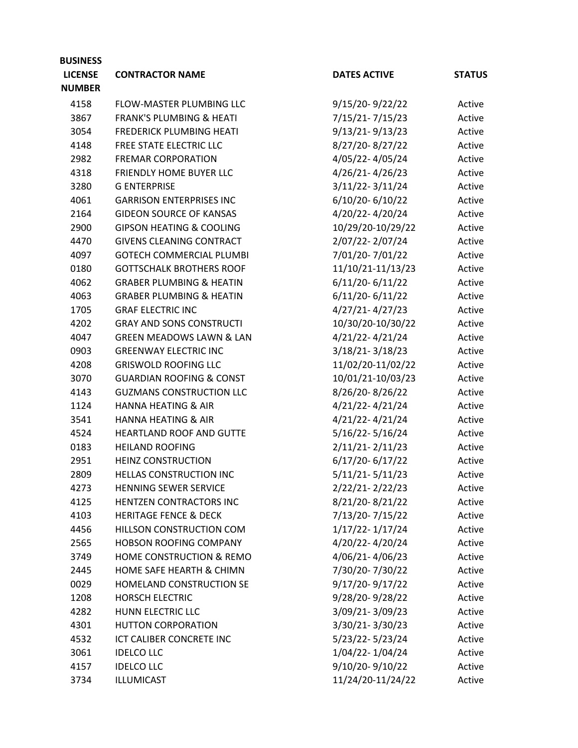| <b>LICENSE</b><br><b>DATES ACTIVE</b><br><b>CONTRACTOR NAME</b><br><b>NUMBER</b><br>9/15/20-9/22/22<br>4158<br>FLOW-MASTER PLUMBING LLC<br>Active<br>7/15/21-7/15/23<br>3867<br><b>FRANK'S PLUMBING &amp; HEATI</b><br>Active<br>$9/13/21 - 9/13/23$<br>3054<br><b>FREDERICK PLUMBING HEATI</b><br>Active<br>8/27/20-8/27/22<br>4148<br>FREE STATE ELECTRIC LLC<br>Active<br>4/05/22-4/05/24<br>2982<br><b>FREMAR CORPORATION</b><br>Active<br>4/26/21-4/26/23<br>4318<br>FRIENDLY HOME BUYER LLC<br>Active<br>$3/11/22 - 3/11/24$<br>3280<br><b>G ENTERPRISE</b><br>Active<br>$6/10/20 - 6/10/22$<br>4061<br><b>GARRISON ENTERPRISES INC</b><br>Active<br>2164<br><b>GIDEON SOURCE OF KANSAS</b><br>4/20/22-4/20/24<br>Active<br><b>GIPSON HEATING &amp; COOLING</b><br>10/29/20-10/29/22<br>2900<br>Active<br>2/07/22-2/07/24<br>4470<br><b>GIVENS CLEANING CONTRACT</b><br>Active<br>7/01/20-7/01/22<br>4097<br><b>GOTECH COMMERCIAL PLUMBI</b><br>Active<br>11/10/21-11/13/23<br>0180<br><b>GOTTSCHALK BROTHERS ROOF</b><br>Active<br>4062<br><b>GRABER PLUMBING &amp; HEATIN</b><br>$6/11/20 - 6/11/22$<br>Active<br>$6/11/20 - 6/11/22$<br><b>GRABER PLUMBING &amp; HEATIN</b><br>4063<br>Active<br>$4/27/21 - 4/27/23$<br>1705<br><b>GRAF ELECTRIC INC</b><br>Active<br><b>GRAY AND SONS CONSTRUCTI</b><br>10/30/20-10/30/22<br>4202<br>Active<br>4/21/22-4/21/24<br><b>GREEN MEADOWS LAWN &amp; LAN</b><br>4047<br>Active<br>0903<br><b>GREENWAY ELECTRIC INC</b><br>$3/18/21 - 3/18/23$<br>Active<br>11/02/20-11/02/22<br>4208<br><b>GRISWOLD ROOFING LLC</b><br>Active<br><b>GUARDIAN ROOFING &amp; CONST</b><br>10/01/21-10/03/23<br>3070<br>Active<br>8/26/20-8/26/22<br><b>GUZMANS CONSTRUCTION LLC</b><br>4143<br>Active<br>4/21/22-4/21/24<br>1124<br><b>HANNA HEATING &amp; AIR</b><br>Active<br><b>HANNA HEATING &amp; AIR</b><br>4/21/22-4/21/24<br>3541<br>Active<br>$5/16/22 - 5/16/24$<br>4524<br>HEARTLAND ROOF AND GUTTE<br>Active<br>2/11/21-2/11/23<br>0183<br><b>HEILAND ROOFING</b><br>Active<br>6/17/20-6/17/22<br>2951<br><b>HEINZ CONSTRUCTION</b><br>Active<br>$5/11/21 - 5/11/23$<br>2809<br><b>HELLAS CONSTRUCTION INC</b><br>Active<br>2/22/21-2/22/23<br><b>HENNING SEWER SERVICE</b><br>4273<br>Active<br>8/21/20-8/21/22<br>4125<br>HENTZEN CONTRACTORS INC<br>Active<br>4103<br>7/13/20-7/15/22<br><b>HERITAGE FENCE &amp; DECK</b><br>Active<br>1/17/22-1/17/24<br>4456<br>HILLSON CONSTRUCTION COM<br>Active<br>HOBSON ROOFING COMPANY<br>4/20/22-4/20/24<br>2565<br>Active<br>4/06/21-4/06/23<br>HOME CONSTRUCTION & REMO<br>3749<br>Active<br>7/30/20-7/30/22<br>2445<br>HOME SAFE HEARTH & CHIMN<br>Active<br>9/17/20-9/17/22<br>0029<br>HOMELAND CONSTRUCTION SE<br>Active<br>9/28/20-9/28/22<br><b>HORSCH ELECTRIC</b><br>1208<br>Active<br>3/09/21-3/09/23<br>HUNN ELECTRIC LLC<br>4282<br>Active<br>3/30/21-3/30/23<br>4301<br><b>HUTTON CORPORATION</b><br>Active<br>ICT CALIBER CONCRETE INC<br>5/23/22-5/23/24<br>4532<br>Active<br>1/04/22-1/04/24<br><b>IDELCO LLC</b><br>3061<br>Active | <b>BUSINESS</b> |                   |                 |               |
|----------------------------------------------------------------------------------------------------------------------------------------------------------------------------------------------------------------------------------------------------------------------------------------------------------------------------------------------------------------------------------------------------------------------------------------------------------------------------------------------------------------------------------------------------------------------------------------------------------------------------------------------------------------------------------------------------------------------------------------------------------------------------------------------------------------------------------------------------------------------------------------------------------------------------------------------------------------------------------------------------------------------------------------------------------------------------------------------------------------------------------------------------------------------------------------------------------------------------------------------------------------------------------------------------------------------------------------------------------------------------------------------------------------------------------------------------------------------------------------------------------------------------------------------------------------------------------------------------------------------------------------------------------------------------------------------------------------------------------------------------------------------------------------------------------------------------------------------------------------------------------------------------------------------------------------------------------------------------------------------------------------------------------------------------------------------------------------------------------------------------------------------------------------------------------------------------------------------------------------------------------------------------------------------------------------------------------------------------------------------------------------------------------------------------------------------------------------------------------------------------------------------------------------------------------------------------------------------------------------------------------------------------------------------------------------------------------------------------------------------------------------------------------------------------------------------------------------------------------------------------------------------------------------------------------------------------------------------------------------------------------------------------------------------|-----------------|-------------------|-----------------|---------------|
|                                                                                                                                                                                                                                                                                                                                                                                                                                                                                                                                                                                                                                                                                                                                                                                                                                                                                                                                                                                                                                                                                                                                                                                                                                                                                                                                                                                                                                                                                                                                                                                                                                                                                                                                                                                                                                                                                                                                                                                                                                                                                                                                                                                                                                                                                                                                                                                                                                                                                                                                                                                                                                                                                                                                                                                                                                                                                                                                                                                                                                              |                 |                   |                 | <b>STATUS</b> |
|                                                                                                                                                                                                                                                                                                                                                                                                                                                                                                                                                                                                                                                                                                                                                                                                                                                                                                                                                                                                                                                                                                                                                                                                                                                                                                                                                                                                                                                                                                                                                                                                                                                                                                                                                                                                                                                                                                                                                                                                                                                                                                                                                                                                                                                                                                                                                                                                                                                                                                                                                                                                                                                                                                                                                                                                                                                                                                                                                                                                                                              |                 |                   |                 |               |
|                                                                                                                                                                                                                                                                                                                                                                                                                                                                                                                                                                                                                                                                                                                                                                                                                                                                                                                                                                                                                                                                                                                                                                                                                                                                                                                                                                                                                                                                                                                                                                                                                                                                                                                                                                                                                                                                                                                                                                                                                                                                                                                                                                                                                                                                                                                                                                                                                                                                                                                                                                                                                                                                                                                                                                                                                                                                                                                                                                                                                                              |                 |                   |                 |               |
|                                                                                                                                                                                                                                                                                                                                                                                                                                                                                                                                                                                                                                                                                                                                                                                                                                                                                                                                                                                                                                                                                                                                                                                                                                                                                                                                                                                                                                                                                                                                                                                                                                                                                                                                                                                                                                                                                                                                                                                                                                                                                                                                                                                                                                                                                                                                                                                                                                                                                                                                                                                                                                                                                                                                                                                                                                                                                                                                                                                                                                              |                 |                   |                 |               |
|                                                                                                                                                                                                                                                                                                                                                                                                                                                                                                                                                                                                                                                                                                                                                                                                                                                                                                                                                                                                                                                                                                                                                                                                                                                                                                                                                                                                                                                                                                                                                                                                                                                                                                                                                                                                                                                                                                                                                                                                                                                                                                                                                                                                                                                                                                                                                                                                                                                                                                                                                                                                                                                                                                                                                                                                                                                                                                                                                                                                                                              |                 |                   |                 |               |
|                                                                                                                                                                                                                                                                                                                                                                                                                                                                                                                                                                                                                                                                                                                                                                                                                                                                                                                                                                                                                                                                                                                                                                                                                                                                                                                                                                                                                                                                                                                                                                                                                                                                                                                                                                                                                                                                                                                                                                                                                                                                                                                                                                                                                                                                                                                                                                                                                                                                                                                                                                                                                                                                                                                                                                                                                                                                                                                                                                                                                                              |                 |                   |                 |               |
|                                                                                                                                                                                                                                                                                                                                                                                                                                                                                                                                                                                                                                                                                                                                                                                                                                                                                                                                                                                                                                                                                                                                                                                                                                                                                                                                                                                                                                                                                                                                                                                                                                                                                                                                                                                                                                                                                                                                                                                                                                                                                                                                                                                                                                                                                                                                                                                                                                                                                                                                                                                                                                                                                                                                                                                                                                                                                                                                                                                                                                              |                 |                   |                 |               |
|                                                                                                                                                                                                                                                                                                                                                                                                                                                                                                                                                                                                                                                                                                                                                                                                                                                                                                                                                                                                                                                                                                                                                                                                                                                                                                                                                                                                                                                                                                                                                                                                                                                                                                                                                                                                                                                                                                                                                                                                                                                                                                                                                                                                                                                                                                                                                                                                                                                                                                                                                                                                                                                                                                                                                                                                                                                                                                                                                                                                                                              |                 |                   |                 |               |
|                                                                                                                                                                                                                                                                                                                                                                                                                                                                                                                                                                                                                                                                                                                                                                                                                                                                                                                                                                                                                                                                                                                                                                                                                                                                                                                                                                                                                                                                                                                                                                                                                                                                                                                                                                                                                                                                                                                                                                                                                                                                                                                                                                                                                                                                                                                                                                                                                                                                                                                                                                                                                                                                                                                                                                                                                                                                                                                                                                                                                                              |                 |                   |                 |               |
|                                                                                                                                                                                                                                                                                                                                                                                                                                                                                                                                                                                                                                                                                                                                                                                                                                                                                                                                                                                                                                                                                                                                                                                                                                                                                                                                                                                                                                                                                                                                                                                                                                                                                                                                                                                                                                                                                                                                                                                                                                                                                                                                                                                                                                                                                                                                                                                                                                                                                                                                                                                                                                                                                                                                                                                                                                                                                                                                                                                                                                              |                 |                   |                 |               |
|                                                                                                                                                                                                                                                                                                                                                                                                                                                                                                                                                                                                                                                                                                                                                                                                                                                                                                                                                                                                                                                                                                                                                                                                                                                                                                                                                                                                                                                                                                                                                                                                                                                                                                                                                                                                                                                                                                                                                                                                                                                                                                                                                                                                                                                                                                                                                                                                                                                                                                                                                                                                                                                                                                                                                                                                                                                                                                                                                                                                                                              |                 |                   |                 |               |
|                                                                                                                                                                                                                                                                                                                                                                                                                                                                                                                                                                                                                                                                                                                                                                                                                                                                                                                                                                                                                                                                                                                                                                                                                                                                                                                                                                                                                                                                                                                                                                                                                                                                                                                                                                                                                                                                                                                                                                                                                                                                                                                                                                                                                                                                                                                                                                                                                                                                                                                                                                                                                                                                                                                                                                                                                                                                                                                                                                                                                                              |                 |                   |                 |               |
|                                                                                                                                                                                                                                                                                                                                                                                                                                                                                                                                                                                                                                                                                                                                                                                                                                                                                                                                                                                                                                                                                                                                                                                                                                                                                                                                                                                                                                                                                                                                                                                                                                                                                                                                                                                                                                                                                                                                                                                                                                                                                                                                                                                                                                                                                                                                                                                                                                                                                                                                                                                                                                                                                                                                                                                                                                                                                                                                                                                                                                              |                 |                   |                 |               |
|                                                                                                                                                                                                                                                                                                                                                                                                                                                                                                                                                                                                                                                                                                                                                                                                                                                                                                                                                                                                                                                                                                                                                                                                                                                                                                                                                                                                                                                                                                                                                                                                                                                                                                                                                                                                                                                                                                                                                                                                                                                                                                                                                                                                                                                                                                                                                                                                                                                                                                                                                                                                                                                                                                                                                                                                                                                                                                                                                                                                                                              |                 |                   |                 |               |
|                                                                                                                                                                                                                                                                                                                                                                                                                                                                                                                                                                                                                                                                                                                                                                                                                                                                                                                                                                                                                                                                                                                                                                                                                                                                                                                                                                                                                                                                                                                                                                                                                                                                                                                                                                                                                                                                                                                                                                                                                                                                                                                                                                                                                                                                                                                                                                                                                                                                                                                                                                                                                                                                                                                                                                                                                                                                                                                                                                                                                                              |                 |                   |                 |               |
|                                                                                                                                                                                                                                                                                                                                                                                                                                                                                                                                                                                                                                                                                                                                                                                                                                                                                                                                                                                                                                                                                                                                                                                                                                                                                                                                                                                                                                                                                                                                                                                                                                                                                                                                                                                                                                                                                                                                                                                                                                                                                                                                                                                                                                                                                                                                                                                                                                                                                                                                                                                                                                                                                                                                                                                                                                                                                                                                                                                                                                              |                 |                   |                 |               |
|                                                                                                                                                                                                                                                                                                                                                                                                                                                                                                                                                                                                                                                                                                                                                                                                                                                                                                                                                                                                                                                                                                                                                                                                                                                                                                                                                                                                                                                                                                                                                                                                                                                                                                                                                                                                                                                                                                                                                                                                                                                                                                                                                                                                                                                                                                                                                                                                                                                                                                                                                                                                                                                                                                                                                                                                                                                                                                                                                                                                                                              |                 |                   |                 |               |
|                                                                                                                                                                                                                                                                                                                                                                                                                                                                                                                                                                                                                                                                                                                                                                                                                                                                                                                                                                                                                                                                                                                                                                                                                                                                                                                                                                                                                                                                                                                                                                                                                                                                                                                                                                                                                                                                                                                                                                                                                                                                                                                                                                                                                                                                                                                                                                                                                                                                                                                                                                                                                                                                                                                                                                                                                                                                                                                                                                                                                                              |                 |                   |                 |               |
|                                                                                                                                                                                                                                                                                                                                                                                                                                                                                                                                                                                                                                                                                                                                                                                                                                                                                                                                                                                                                                                                                                                                                                                                                                                                                                                                                                                                                                                                                                                                                                                                                                                                                                                                                                                                                                                                                                                                                                                                                                                                                                                                                                                                                                                                                                                                                                                                                                                                                                                                                                                                                                                                                                                                                                                                                                                                                                                                                                                                                                              |                 |                   |                 |               |
|                                                                                                                                                                                                                                                                                                                                                                                                                                                                                                                                                                                                                                                                                                                                                                                                                                                                                                                                                                                                                                                                                                                                                                                                                                                                                                                                                                                                                                                                                                                                                                                                                                                                                                                                                                                                                                                                                                                                                                                                                                                                                                                                                                                                                                                                                                                                                                                                                                                                                                                                                                                                                                                                                                                                                                                                                                                                                                                                                                                                                                              |                 |                   |                 |               |
|                                                                                                                                                                                                                                                                                                                                                                                                                                                                                                                                                                                                                                                                                                                                                                                                                                                                                                                                                                                                                                                                                                                                                                                                                                                                                                                                                                                                                                                                                                                                                                                                                                                                                                                                                                                                                                                                                                                                                                                                                                                                                                                                                                                                                                                                                                                                                                                                                                                                                                                                                                                                                                                                                                                                                                                                                                                                                                                                                                                                                                              |                 |                   |                 |               |
|                                                                                                                                                                                                                                                                                                                                                                                                                                                                                                                                                                                                                                                                                                                                                                                                                                                                                                                                                                                                                                                                                                                                                                                                                                                                                                                                                                                                                                                                                                                                                                                                                                                                                                                                                                                                                                                                                                                                                                                                                                                                                                                                                                                                                                                                                                                                                                                                                                                                                                                                                                                                                                                                                                                                                                                                                                                                                                                                                                                                                                              |                 |                   |                 |               |
|                                                                                                                                                                                                                                                                                                                                                                                                                                                                                                                                                                                                                                                                                                                                                                                                                                                                                                                                                                                                                                                                                                                                                                                                                                                                                                                                                                                                                                                                                                                                                                                                                                                                                                                                                                                                                                                                                                                                                                                                                                                                                                                                                                                                                                                                                                                                                                                                                                                                                                                                                                                                                                                                                                                                                                                                                                                                                                                                                                                                                                              |                 |                   |                 |               |
|                                                                                                                                                                                                                                                                                                                                                                                                                                                                                                                                                                                                                                                                                                                                                                                                                                                                                                                                                                                                                                                                                                                                                                                                                                                                                                                                                                                                                                                                                                                                                                                                                                                                                                                                                                                                                                                                                                                                                                                                                                                                                                                                                                                                                                                                                                                                                                                                                                                                                                                                                                                                                                                                                                                                                                                                                                                                                                                                                                                                                                              |                 |                   |                 |               |
|                                                                                                                                                                                                                                                                                                                                                                                                                                                                                                                                                                                                                                                                                                                                                                                                                                                                                                                                                                                                                                                                                                                                                                                                                                                                                                                                                                                                                                                                                                                                                                                                                                                                                                                                                                                                                                                                                                                                                                                                                                                                                                                                                                                                                                                                                                                                                                                                                                                                                                                                                                                                                                                                                                                                                                                                                                                                                                                                                                                                                                              |                 |                   |                 |               |
|                                                                                                                                                                                                                                                                                                                                                                                                                                                                                                                                                                                                                                                                                                                                                                                                                                                                                                                                                                                                                                                                                                                                                                                                                                                                                                                                                                                                                                                                                                                                                                                                                                                                                                                                                                                                                                                                                                                                                                                                                                                                                                                                                                                                                                                                                                                                                                                                                                                                                                                                                                                                                                                                                                                                                                                                                                                                                                                                                                                                                                              |                 |                   |                 |               |
|                                                                                                                                                                                                                                                                                                                                                                                                                                                                                                                                                                                                                                                                                                                                                                                                                                                                                                                                                                                                                                                                                                                                                                                                                                                                                                                                                                                                                                                                                                                                                                                                                                                                                                                                                                                                                                                                                                                                                                                                                                                                                                                                                                                                                                                                                                                                                                                                                                                                                                                                                                                                                                                                                                                                                                                                                                                                                                                                                                                                                                              |                 |                   |                 |               |
|                                                                                                                                                                                                                                                                                                                                                                                                                                                                                                                                                                                                                                                                                                                                                                                                                                                                                                                                                                                                                                                                                                                                                                                                                                                                                                                                                                                                                                                                                                                                                                                                                                                                                                                                                                                                                                                                                                                                                                                                                                                                                                                                                                                                                                                                                                                                                                                                                                                                                                                                                                                                                                                                                                                                                                                                                                                                                                                                                                                                                                              |                 |                   |                 |               |
|                                                                                                                                                                                                                                                                                                                                                                                                                                                                                                                                                                                                                                                                                                                                                                                                                                                                                                                                                                                                                                                                                                                                                                                                                                                                                                                                                                                                                                                                                                                                                                                                                                                                                                                                                                                                                                                                                                                                                                                                                                                                                                                                                                                                                                                                                                                                                                                                                                                                                                                                                                                                                                                                                                                                                                                                                                                                                                                                                                                                                                              |                 |                   |                 |               |
|                                                                                                                                                                                                                                                                                                                                                                                                                                                                                                                                                                                                                                                                                                                                                                                                                                                                                                                                                                                                                                                                                                                                                                                                                                                                                                                                                                                                                                                                                                                                                                                                                                                                                                                                                                                                                                                                                                                                                                                                                                                                                                                                                                                                                                                                                                                                                                                                                                                                                                                                                                                                                                                                                                                                                                                                                                                                                                                                                                                                                                              |                 |                   |                 |               |
|                                                                                                                                                                                                                                                                                                                                                                                                                                                                                                                                                                                                                                                                                                                                                                                                                                                                                                                                                                                                                                                                                                                                                                                                                                                                                                                                                                                                                                                                                                                                                                                                                                                                                                                                                                                                                                                                                                                                                                                                                                                                                                                                                                                                                                                                                                                                                                                                                                                                                                                                                                                                                                                                                                                                                                                                                                                                                                                                                                                                                                              |                 |                   |                 |               |
|                                                                                                                                                                                                                                                                                                                                                                                                                                                                                                                                                                                                                                                                                                                                                                                                                                                                                                                                                                                                                                                                                                                                                                                                                                                                                                                                                                                                                                                                                                                                                                                                                                                                                                                                                                                                                                                                                                                                                                                                                                                                                                                                                                                                                                                                                                                                                                                                                                                                                                                                                                                                                                                                                                                                                                                                                                                                                                                                                                                                                                              |                 |                   |                 |               |
|                                                                                                                                                                                                                                                                                                                                                                                                                                                                                                                                                                                                                                                                                                                                                                                                                                                                                                                                                                                                                                                                                                                                                                                                                                                                                                                                                                                                                                                                                                                                                                                                                                                                                                                                                                                                                                                                                                                                                                                                                                                                                                                                                                                                                                                                                                                                                                                                                                                                                                                                                                                                                                                                                                                                                                                                                                                                                                                                                                                                                                              |                 |                   |                 |               |
|                                                                                                                                                                                                                                                                                                                                                                                                                                                                                                                                                                                                                                                                                                                                                                                                                                                                                                                                                                                                                                                                                                                                                                                                                                                                                                                                                                                                                                                                                                                                                                                                                                                                                                                                                                                                                                                                                                                                                                                                                                                                                                                                                                                                                                                                                                                                                                                                                                                                                                                                                                                                                                                                                                                                                                                                                                                                                                                                                                                                                                              |                 |                   |                 |               |
|                                                                                                                                                                                                                                                                                                                                                                                                                                                                                                                                                                                                                                                                                                                                                                                                                                                                                                                                                                                                                                                                                                                                                                                                                                                                                                                                                                                                                                                                                                                                                                                                                                                                                                                                                                                                                                                                                                                                                                                                                                                                                                                                                                                                                                                                                                                                                                                                                                                                                                                                                                                                                                                                                                                                                                                                                                                                                                                                                                                                                                              |                 |                   |                 |               |
|                                                                                                                                                                                                                                                                                                                                                                                                                                                                                                                                                                                                                                                                                                                                                                                                                                                                                                                                                                                                                                                                                                                                                                                                                                                                                                                                                                                                                                                                                                                                                                                                                                                                                                                                                                                                                                                                                                                                                                                                                                                                                                                                                                                                                                                                                                                                                                                                                                                                                                                                                                                                                                                                                                                                                                                                                                                                                                                                                                                                                                              |                 |                   |                 |               |
|                                                                                                                                                                                                                                                                                                                                                                                                                                                                                                                                                                                                                                                                                                                                                                                                                                                                                                                                                                                                                                                                                                                                                                                                                                                                                                                                                                                                                                                                                                                                                                                                                                                                                                                                                                                                                                                                                                                                                                                                                                                                                                                                                                                                                                                                                                                                                                                                                                                                                                                                                                                                                                                                                                                                                                                                                                                                                                                                                                                                                                              |                 |                   |                 |               |
|                                                                                                                                                                                                                                                                                                                                                                                                                                                                                                                                                                                                                                                                                                                                                                                                                                                                                                                                                                                                                                                                                                                                                                                                                                                                                                                                                                                                                                                                                                                                                                                                                                                                                                                                                                                                                                                                                                                                                                                                                                                                                                                                                                                                                                                                                                                                                                                                                                                                                                                                                                                                                                                                                                                                                                                                                                                                                                                                                                                                                                              |                 |                   |                 |               |
|                                                                                                                                                                                                                                                                                                                                                                                                                                                                                                                                                                                                                                                                                                                                                                                                                                                                                                                                                                                                                                                                                                                                                                                                                                                                                                                                                                                                                                                                                                                                                                                                                                                                                                                                                                                                                                                                                                                                                                                                                                                                                                                                                                                                                                                                                                                                                                                                                                                                                                                                                                                                                                                                                                                                                                                                                                                                                                                                                                                                                                              |                 |                   |                 |               |
|                                                                                                                                                                                                                                                                                                                                                                                                                                                                                                                                                                                                                                                                                                                                                                                                                                                                                                                                                                                                                                                                                                                                                                                                                                                                                                                                                                                                                                                                                                                                                                                                                                                                                                                                                                                                                                                                                                                                                                                                                                                                                                                                                                                                                                                                                                                                                                                                                                                                                                                                                                                                                                                                                                                                                                                                                                                                                                                                                                                                                                              |                 |                   |                 |               |
|                                                                                                                                                                                                                                                                                                                                                                                                                                                                                                                                                                                                                                                                                                                                                                                                                                                                                                                                                                                                                                                                                                                                                                                                                                                                                                                                                                                                                                                                                                                                                                                                                                                                                                                                                                                                                                                                                                                                                                                                                                                                                                                                                                                                                                                                                                                                                                                                                                                                                                                                                                                                                                                                                                                                                                                                                                                                                                                                                                                                                                              |                 |                   |                 |               |
|                                                                                                                                                                                                                                                                                                                                                                                                                                                                                                                                                                                                                                                                                                                                                                                                                                                                                                                                                                                                                                                                                                                                                                                                                                                                                                                                                                                                                                                                                                                                                                                                                                                                                                                                                                                                                                                                                                                                                                                                                                                                                                                                                                                                                                                                                                                                                                                                                                                                                                                                                                                                                                                                                                                                                                                                                                                                                                                                                                                                                                              |                 |                   |                 |               |
|                                                                                                                                                                                                                                                                                                                                                                                                                                                                                                                                                                                                                                                                                                                                                                                                                                                                                                                                                                                                                                                                                                                                                                                                                                                                                                                                                                                                                                                                                                                                                                                                                                                                                                                                                                                                                                                                                                                                                                                                                                                                                                                                                                                                                                                                                                                                                                                                                                                                                                                                                                                                                                                                                                                                                                                                                                                                                                                                                                                                                                              |                 |                   |                 |               |
|                                                                                                                                                                                                                                                                                                                                                                                                                                                                                                                                                                                                                                                                                                                                                                                                                                                                                                                                                                                                                                                                                                                                                                                                                                                                                                                                                                                                                                                                                                                                                                                                                                                                                                                                                                                                                                                                                                                                                                                                                                                                                                                                                                                                                                                                                                                                                                                                                                                                                                                                                                                                                                                                                                                                                                                                                                                                                                                                                                                                                                              | 4157            | <b>IDELCO LLC</b> | 9/10/20-9/10/22 | Active        |
| ILLUMICAST<br>11/24/20-11/24/22<br>3734<br>Active                                                                                                                                                                                                                                                                                                                                                                                                                                                                                                                                                                                                                                                                                                                                                                                                                                                                                                                                                                                                                                                                                                                                                                                                                                                                                                                                                                                                                                                                                                                                                                                                                                                                                                                                                                                                                                                                                                                                                                                                                                                                                                                                                                                                                                                                                                                                                                                                                                                                                                                                                                                                                                                                                                                                                                                                                                                                                                                                                                                            |                 |                   |                 |               |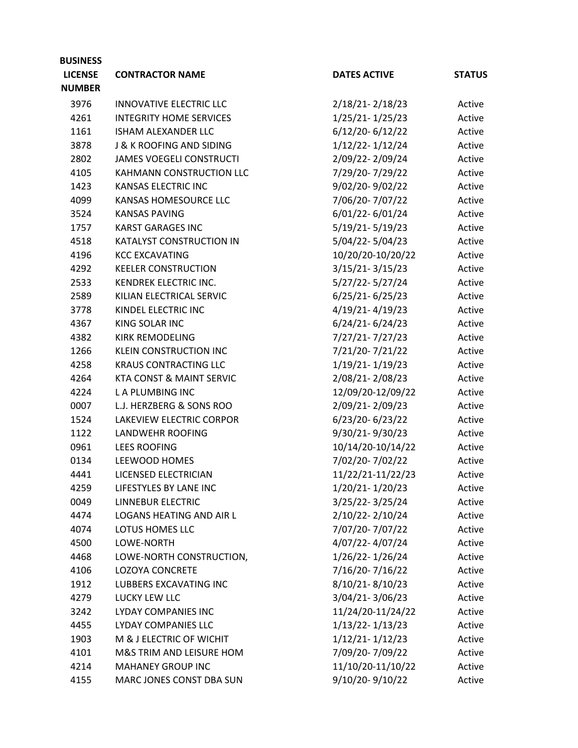| <b>BUSINESS</b> |                                     |                     |               |
|-----------------|-------------------------------------|---------------------|---------------|
| <b>LICENSE</b>  | <b>CONTRACTOR NAME</b>              | <b>DATES ACTIVE</b> | <b>STATUS</b> |
| <b>NUMBER</b>   |                                     |                     |               |
| 3976            | <b>INNOVATIVE ELECTRIC LLC</b>      | 2/18/21-2/18/23     | Active        |
| 4261            | <b>INTEGRITY HOME SERVICES</b>      | 1/25/21-1/25/23     | Active        |
| 1161            | <b>ISHAM ALEXANDER LLC</b>          | $6/12/20 - 6/12/22$ | Active        |
| 3878            | <b>J &amp; K ROOFING AND SIDING</b> | 1/12/22-1/12/24     | Active        |
| 2802            | <b>JAMES VOEGELI CONSTRUCTI</b>     | 2/09/22-2/09/24     | Active        |
| 4105            | KAHMANN CONSTRUCTION LLC            | 7/29/20-7/29/22     | Active        |
| 1423            | KANSAS ELECTRIC INC                 | 9/02/20-9/02/22     | Active        |
| 4099            | KANSAS HOMESOURCE LLC               | 7/06/20-7/07/22     | Active        |
| 3524            | <b>KANSAS PAVING</b>                | 6/01/22-6/01/24     | Active        |
| 1757            | <b>KARST GARAGES INC</b>            | $5/19/21 - 5/19/23$ | Active        |
| 4518            | KATALYST CONSTRUCTION IN            | 5/04/22-5/04/23     | Active        |
| 4196            | <b>KCC EXCAVATING</b>               | 10/20/20-10/20/22   | Active        |
| 4292            | <b>KEELER CONSTRUCTION</b>          | $3/15/21 - 3/15/23$ | Active        |
| 2533            | KENDREK ELECTRIC INC.               | 5/27/22-5/27/24     | Active        |
| 2589            | KILIAN ELECTRICAL SERVIC            | $6/25/21 - 6/25/23$ | Active        |
| 3778            | KINDEL ELECTRIC INC                 | 4/19/21-4/19/23     | Active        |
| 4367            | KING SOLAR INC                      | $6/24/21 - 6/24/23$ | Active        |
| 4382            | <b>KIRK REMODELING</b>              | 7/27/21-7/27/23     | Active        |
| 1266            | <b>KLEIN CONSTRUCTION INC</b>       | 7/21/20-7/21/22     | Active        |
| 4258            | <b>KRAUS CONTRACTING LLC</b>        | 1/19/21-1/19/23     | Active        |
| 4264            | <b>KTA CONST &amp; MAINT SERVIC</b> | 2/08/21-2/08/23     | Active        |
| 4224            | L A PLUMBING INC                    | 12/09/20-12/09/22   | Active        |
| 0007            | L.J. HERZBERG & SONS ROO            | 2/09/21-2/09/23     | Active        |
| 1524            | LAKEVIEW ELECTRIC CORPOR            | $6/23/20 - 6/23/22$ | Active        |
| 1122            | LANDWEHR ROOFING                    | 9/30/21-9/30/23     | Active        |
| 0961            | <b>LEES ROOFING</b>                 | 10/14/20-10/14/22   | Active        |
| 0134            | LEEWOOD HOMES                       | 7/02/20-7/02/22     | Active        |
| 4441            | LICENSED ELECTRICIAN                | 11/22/21-11/22/23   | Active        |
| 4259            | LIFESTYLES BY LANE INC              | 1/20/21-1/20/23     | Active        |
| 0049            | LINNEBUR ELECTRIC                   | 3/25/22-3/25/24     | Active        |
| 4474            | LOGANS HEATING AND AIR L            | 2/10/22-2/10/24     | Active        |
| 4074            | LOTUS HOMES LLC                     | 7/07/20-7/07/22     | Active        |
| 4500            | LOWE-NORTH                          | 4/07/22-4/07/24     | Active        |
| 4468            | LOWE-NORTH CONSTRUCTION,            | 1/26/22-1/26/24     | Active        |
| 4106            | <b>LOZOYA CONCRETE</b>              | 7/16/20-7/16/22     | Active        |
| 1912            | LUBBERS EXCAVATING INC              | 8/10/21-8/10/23     | Active        |
| 4279            | LUCKY LEW LLC                       | 3/04/21-3/06/23     | Active        |
| 3242            | LYDAY COMPANIES INC                 | 11/24/20-11/24/22   | Active        |
| 4455            | LYDAY COMPANIES LLC                 | $1/13/22 - 1/13/23$ | Active        |
| 1903            | M & J ELECTRIC OF WICHIT            | $1/12/21 - 1/12/23$ | Active        |
| 4101            | M&S TRIM AND LEISURE HOM            | 7/09/20-7/09/22     | Active        |
| 4214            | <b>MAHANEY GROUP INC</b>            | 11/10/20-11/10/22   | Active        |
| 4155            | MARC JONES CONST DBA SUN            | 9/10/20-9/10/22     | Active        |
|                 |                                     |                     |               |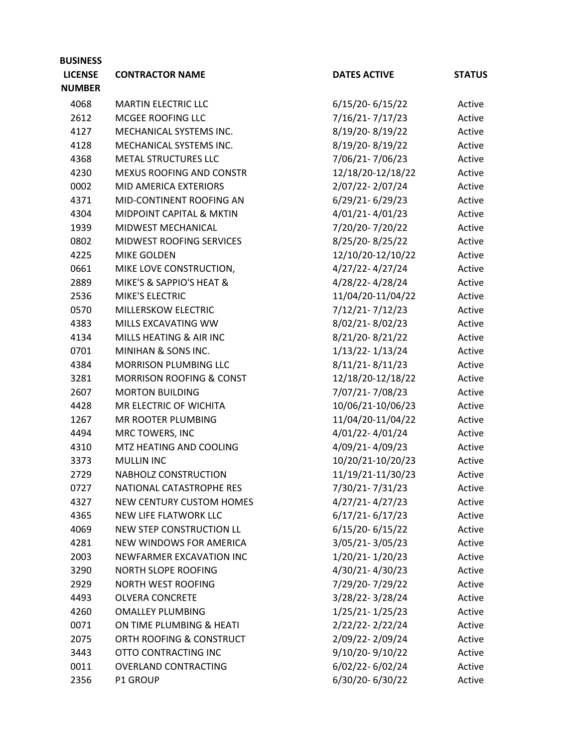| <b>BUSINESS</b> |                                     |                     |               |
|-----------------|-------------------------------------|---------------------|---------------|
| <b>LICENSE</b>  | <b>CONTRACTOR NAME</b>              | <b>DATES ACTIVE</b> | <b>STATUS</b> |
| <b>NUMBER</b>   |                                     |                     |               |
| 4068            | <b>MARTIN ELECTRIC LLC</b>          | 6/15/20-6/15/22     | Active        |
| 2612            | MCGEE ROOFING LLC                   | 7/16/21-7/17/23     | Active        |
| 4127            | MECHANICAL SYSTEMS INC.             | 8/19/20-8/19/22     | Active        |
| 4128            | MECHANICAL SYSTEMS INC.             | 8/19/20-8/19/22     | Active        |
| 4368            | <b>METAL STRUCTURES LLC</b>         | 7/06/21-7/06/23     | Active        |
| 4230            | <b>MEXUS ROOFING AND CONSTR</b>     | 12/18/20-12/18/22   | Active        |
| 0002            | MID AMERICA EXTERIORS               | 2/07/22-2/07/24     | Active        |
| 4371            | MID-CONTINENT ROOFING AN            | 6/29/21-6/29/23     | Active        |
| 4304            | MIDPOINT CAPITAL & MKTIN            | 4/01/21-4/01/23     | Active        |
| 1939            | MIDWEST MECHANICAL                  | 7/20/20-7/20/22     | Active        |
| 0802            | <b>MIDWEST ROOFING SERVICES</b>     | 8/25/20-8/25/22     | Active        |
| 4225            | <b>MIKE GOLDEN</b>                  | 12/10/20-12/10/22   | Active        |
| 0661            | MIKE LOVE CONSTRUCTION,             | 4/27/22-4/27/24     | Active        |
| 2889            | MIKE'S & SAPPIO'S HEAT &            | 4/28/22-4/28/24     | Active        |
| 2536            | MIKE'S ELECTRIC                     | 11/04/20-11/04/22   | Active        |
| 0570            | MILLERSKOW ELECTRIC                 | 7/12/21-7/12/23     | Active        |
| 4383            | MILLS EXCAVATING WW                 | 8/02/21-8/02/23     | Active        |
| 4134            | MILLS HEATING & AIR INC             | 8/21/20-8/21/22     | Active        |
| 0701            | MINIHAN & SONS INC.                 | 1/13/22-1/13/24     | Active        |
| 4384            | <b>MORRISON PLUMBING LLC</b>        | $8/11/21 - 8/11/23$ | Active        |
| 3281            | <b>MORRISON ROOFING &amp; CONST</b> | 12/18/20-12/18/22   | Active        |
| 2607            | <b>MORTON BUILDING</b>              | 7/07/21-7/08/23     | Active        |
| 4428            | MR ELECTRIC OF WICHITA              | 10/06/21-10/06/23   | Active        |
| 1267            | MR ROOTER PLUMBING                  | 11/04/20-11/04/22   | Active        |
| 4494            | MRC TOWERS, INC                     | 4/01/22-4/01/24     | Active        |
| 4310            | MTZ HEATING AND COOLING             | 4/09/21-4/09/23     | Active        |
| 3373            | <b>MULLIN INC</b>                   | 10/20/21-10/20/23   | Active        |
| 2729            | NABHOLZ CONSTRUCTION                | 11/19/21-11/30/23   | Active        |
| 0727            | NATIONAL CATASTROPHE RES            | 7/30/21-7/31/23     | Active        |
| 4327            | NEW CENTURY CUSTOM HOMES            | $4/27/21 - 4/27/23$ | Active        |
| 4365            | NEW LIFE FLATWORK LLC               | $6/17/21 - 6/17/23$ | Active        |
| 4069            | NEW STEP CONSTRUCTION LL            | $6/15/20 - 6/15/22$ | Active        |
| 4281            | NEW WINDOWS FOR AMERICA             | 3/05/21-3/05/23     | Active        |
| 2003            | NEWFARMER EXCAVATION INC            | 1/20/21-1/20/23     | Active        |
| 3290            | NORTH SLOPE ROOFING                 | 4/30/21-4/30/23     | Active        |
| 2929            | <b>NORTH WEST ROOFING</b>           | 7/29/20-7/29/22     | Active        |
| 4493            | <b>OLVERA CONCRETE</b>              | 3/28/22-3/28/24     | Active        |
| 4260            | <b>OMALLEY PLUMBING</b>             | 1/25/21-1/25/23     | Active        |
| 0071            | ON TIME PLUMBING & HEATI            | 2/22/22-2/22/24     | Active        |
| 2075            | ORTH ROOFING & CONSTRUCT            | 2/09/22-2/09/24     | Active        |
| 3443            | OTTO CONTRACTING INC                | 9/10/20-9/10/22     | Active        |
| 0011            | <b>OVERLAND CONTRACTING</b>         | 6/02/22-6/02/24     | Active        |
| 2356            | <b>P1 GROUP</b>                     | 6/30/20-6/30/22     | Active        |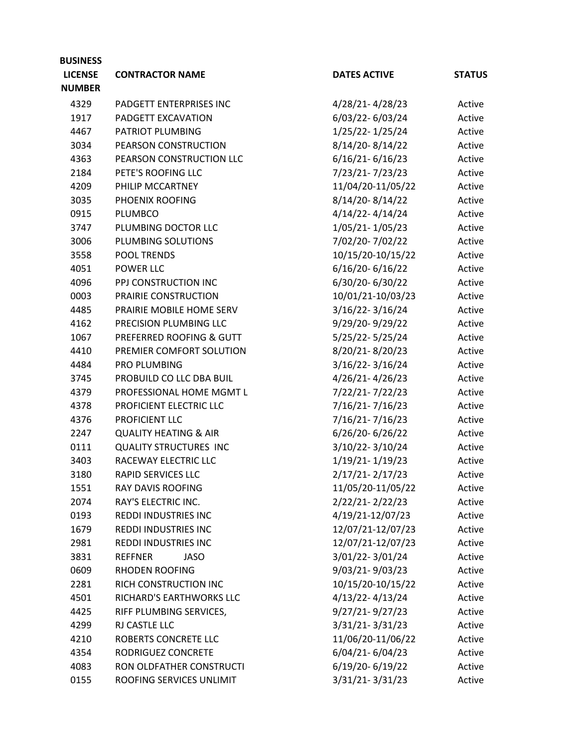| <b>BUSINESS</b> |                                  |                     |               |
|-----------------|----------------------------------|---------------------|---------------|
| <b>LICENSE</b>  | <b>CONTRACTOR NAME</b>           | <b>DATES ACTIVE</b> | <b>STATUS</b> |
| <b>NUMBER</b>   |                                  |                     |               |
| 4329            | PADGETT ENTERPRISES INC          | 4/28/21-4/28/23     | Active        |
| 1917            | PADGETT EXCAVATION               | 6/03/22-6/03/24     | Active        |
| 4467            | PATRIOT PLUMBING                 | 1/25/22-1/25/24     | Active        |
| 3034            | PEARSON CONSTRUCTION             | 8/14/20-8/14/22     | Active        |
| 4363            | PEARSON CONSTRUCTION LLC         | $6/16/21 - 6/16/23$ | Active        |
| 2184            | PETE'S ROOFING LLC               | 7/23/21-7/23/23     | Active        |
| 4209            | PHILIP MCCARTNEY                 | 11/04/20-11/05/22   | Active        |
| 3035            | PHOENIX ROOFING                  | 8/14/20-8/14/22     | Active        |
| 0915            | PLUMBCO                          | 4/14/22-4/14/24     | Active        |
| 3747            | PLUMBING DOCTOR LLC              | 1/05/21-1/05/23     | Active        |
| 3006            | PLUMBING SOLUTIONS               | 7/02/20-7/02/22     | Active        |
| 3558            | POOL TRENDS                      | 10/15/20-10/15/22   | Active        |
| 4051            | POWER LLC                        | $6/16/20 - 6/16/22$ | Active        |
| 4096            | PPJ CONSTRUCTION INC             | 6/30/20-6/30/22     | Active        |
| 0003            | PRAIRIE CONSTRUCTION             | 10/01/21-10/03/23   | Active        |
| 4485            | PRAIRIE MOBILE HOME SERV         | $3/16/22 - 3/16/24$ | Active        |
| 4162            | PRECISION PLUMBING LLC           | 9/29/20-9/29/22     | Active        |
| 1067            | PREFERRED ROOFING & GUTT         | 5/25/22-5/25/24     | Active        |
| 4410            | PREMIER COMFORT SOLUTION         | 8/20/21-8/20/23     | Active        |
| 4484            | <b>PRO PLUMBING</b>              | 3/16/22-3/16/24     | Active        |
| 3745            | PROBUILD CO LLC DBA BUIL         | 4/26/21-4/26/23     | Active        |
| 4379            | PROFESSIONAL HOME MGMT L         | 7/22/21-7/22/23     | Active        |
| 4378            | PROFICIENT ELECTRIC LLC          | 7/16/21-7/16/23     | Active        |
| 4376            | PROFICIENT LLC                   | 7/16/21-7/16/23     | Active        |
| 2247            | <b>QUALITY HEATING &amp; AIR</b> | 6/26/20-6/26/22     | Active        |
| 0111            | QUALITY STRUCTURES INC           | 3/10/22-3/10/24     | Active        |
| 3403            | RACEWAY ELECTRIC LLC             | 1/19/21-1/19/23     | Active        |
| 3180            | <b>RAPID SERVICES LLC</b>        | 2/17/21-2/17/23     | Active        |
| 1551            | <b>RAY DAVIS ROOFING</b>         | 11/05/20-11/05/22   | Active        |
| 2074            | RAY'S ELECTRIC INC.              | 2/22/21-2/22/23     | Active        |
| 0193            | <b>REDDI INDUSTRIES INC</b>      | 4/19/21-12/07/23    | Active        |
| 1679            | <b>REDDI INDUSTRIES INC</b>      | 12/07/21-12/07/23   | Active        |
| 2981            | REDDI INDUSTRIES INC             | 12/07/21-12/07/23   | Active        |
| 3831            | <b>REFFNER</b><br><b>JASO</b>    | 3/01/22-3/01/24     | Active        |
| 0609            | <b>RHODEN ROOFING</b>            | 9/03/21-9/03/23     | Active        |
| 2281            | RICH CONSTRUCTION INC            | 10/15/20-10/15/22   | Active        |
| 4501            | RICHARD'S EARTHWORKS LLC         | 4/13/22-4/13/24     | Active        |
| 4425            | RIFF PLUMBING SERVICES,          | $9/27/21 - 9/27/23$ | Active        |
| 4299            | RJ CASTLE LLC                    | 3/31/21-3/31/23     | Active        |
| 4210            | ROBERTS CONCRETE LLC             | 11/06/20-11/06/22   | Active        |
| 4354            | RODRIGUEZ CONCRETE               | 6/04/21-6/04/23     | Active        |
| 4083            | RON OLDFATHER CONSTRUCTI         | 6/19/20-6/19/22     | Active        |
| 0155            | ROOFING SERVICES UNLIMIT         | 3/31/21-3/31/23     | Active        |
|                 |                                  |                     |               |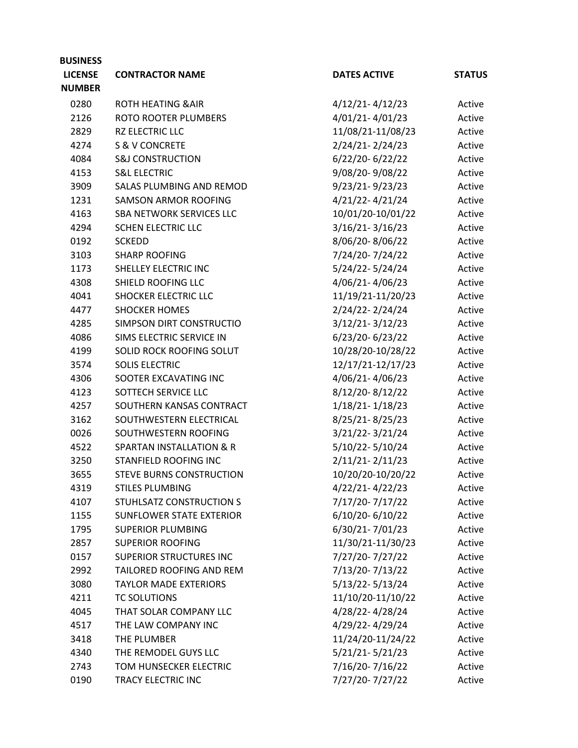| <b>BUSINESS</b> |                                     |                     |                  |
|-----------------|-------------------------------------|---------------------|------------------|
| <b>LICENSE</b>  | <b>CONTRACTOR NAME</b>              | <b>DATES ACTIVE</b> | <b>STATUS</b>    |
| <b>NUMBER</b>   |                                     |                     |                  |
| 0280            | <b>ROTH HEATING &amp; AIR</b>       | $4/12/21 - 4/12/23$ | Active           |
| 2126            | ROTO ROOTER PLUMBERS                | 4/01/21-4/01/23     | Active           |
| 2829            | RZ ELECTRIC LLC                     | 11/08/21-11/08/23   | Active           |
| 4274            | <b>S &amp; V CONCRETE</b>           | 2/24/21-2/24/23     | Active           |
| 4084            | <b>S&amp;J CONSTRUCTION</b>         | 6/22/20-6/22/22     | Active           |
| 4153            | <b>S&amp;L ELECTRIC</b>             | 9/08/20-9/08/22     | Active           |
| 3909            | <b>SALAS PLUMBING AND REMOD</b>     | 9/23/21-9/23/23     | Active           |
| 1231            | <b>SAMSON ARMOR ROOFING</b>         | 4/21/22-4/21/24     | Active           |
| 4163            | SBA NETWORK SERVICES LLC            | 10/01/20-10/01/22   | Active           |
| 4294            | SCHEN ELECTRIC LLC                  | $3/16/21 - 3/16/23$ | Active           |
| 0192            | <b>SCKEDD</b>                       | 8/06/20-8/06/22     | Active           |
| 3103            | <b>SHARP ROOFING</b>                | 7/24/20-7/24/22     | Active           |
| 1173            | SHELLEY ELECTRIC INC                | 5/24/22-5/24/24     | Active           |
| 4308            | SHIELD ROOFING LLC                  | 4/06/21-4/06/23     | Active           |
| 4041            | <b>SHOCKER ELECTRIC LLC</b>         | 11/19/21-11/20/23   | Active           |
| 4477            | <b>SHOCKER HOMES</b>                | 2/24/22-2/24/24     | Active           |
| 4285            | SIMPSON DIRT CONSTRUCTIO            | $3/12/21 - 3/12/23$ | Active           |
| 4086            | SIMS ELECTRIC SERVICE IN            | 6/23/20-6/23/22     | Active           |
| 4199            | SOLID ROCK ROOFING SOLUT            | 10/28/20-10/28/22   | Active           |
| 3574            | <b>SOLIS ELECTRIC</b>               | 12/17/21-12/17/23   | Active           |
| 4306            | SOOTER EXCAVATING INC               | 4/06/21-4/06/23     | Active           |
| 4123            | SOTTECH SERVICE LLC                 | 8/12/20-8/12/22     | Active           |
| 4257            | SOUTHERN KANSAS CONTRACT            | 1/18/21-1/18/23     | Active           |
| 3162            | SOUTHWESTERN ELECTRICAL             | 8/25/21-8/25/23     | Active           |
| 0026            | SOUTHWESTERN ROOFING                | 3/21/22-3/21/24     | Active           |
| 4522            | <b>SPARTAN INSTALLATION &amp; R</b> | 5/10/22-5/10/24     | Active           |
| 3250            | STANFIELD ROOFING INC               | $2/11/21 - 2/11/23$ | Active           |
| 3655            | <b>STEVE BURNS CONSTRUCTION</b>     | 10/20/20-10/20/22   | Active           |
| 4319            | <b>STILES PLUMBING</b>              | 4/22/21-4/22/23     | Active           |
| 4107            | STUHLSATZ CONSTRUCTION S            | 7/17/20-7/17/22     | Active           |
| 1155            | <b>SUNFLOWER STATE EXTERIOR</b>     | $6/10/20 - 6/10/22$ | Active           |
| 1795            | <b>SUPERIOR PLUMBING</b>            | 6/30/21-7/01/23     | Active           |
| 2857            | <b>SUPERIOR ROOFING</b>             | 11/30/21-11/30/23   | Active           |
| 0157            | <b>SUPERIOR STRUCTURES INC</b>      | 7/27/20-7/27/22     | Active           |
| 2992            | TAILORED ROOFING AND REM            | 7/13/20-7/13/22     | Active           |
| 3080            | <b>TAYLOR MADE EXTERIORS</b>        | $5/13/22 - 5/13/24$ | Active           |
| 4211            | <b>TC SOLUTIONS</b>                 | 11/10/20-11/10/22   | Active           |
| 4045            | THAT SOLAR COMPANY LLC              | 4/28/22-4/28/24     | Active           |
| 4517            | THE LAW COMPANY INC                 | 4/29/22-4/29/24     |                  |
| 3418            | THE PLUMBER                         | 11/24/20-11/24/22   | Active<br>Active |
|                 | THE REMODEL GUYS LLC                | $5/21/21 - 5/21/23$ |                  |
| 4340            | TOM HUNSECKER ELECTRIC              |                     | Active           |
| 2743            |                                     | 7/16/20-7/16/22     | Active           |
| 0190            | TRACY ELECTRIC INC                  | 7/27/20-7/27/22     | Active           |